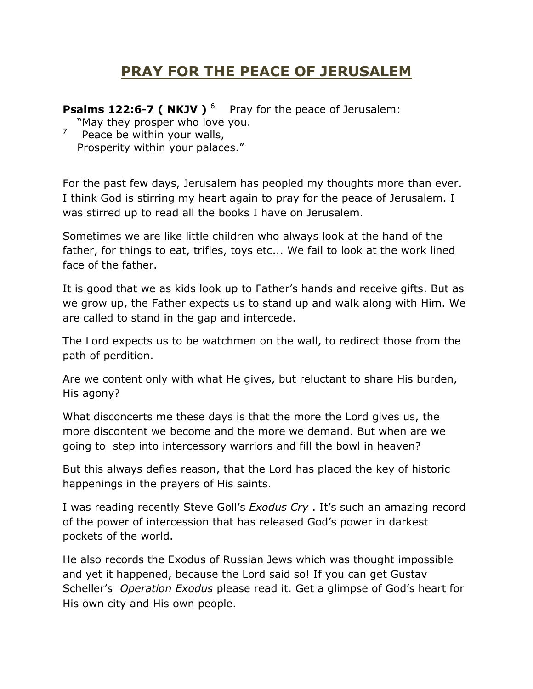## **PRAY FOR THE PEACE OF JERUSALEM**

**Psalms 122:6-7 ( NKJV )** <sup>6</sup> Pray for the peace of Jerusalem:

 "May they prosper who love you. 7

 Peace be within your walls, Prosperity within your palaces."

For the past few days, Jerusalem has peopled my thoughts more than ever. I think God is stirring my heart again to pray for the peace of Jerusalem. I was stirred up to read all the books I have on Jerusalem.

Sometimes we are like little children who always look at the hand of the father, for things to eat, trifles, toys etc... We fail to look at the work lined face of the father.

It is good that we as kids look up to Father's hands and receive gifts. But as we grow up, the Father expects us to stand up and walk along with Him. We are called to stand in the gap and intercede.

The Lord expects us to be watchmen on the wall, to redirect those from the path of perdition.

Are we content only with what He gives, but reluctant to share His burden, His agony?

What disconcerts me these days is that the more the Lord gives us, the more discontent we become and the more we demand. But when are we going to step into intercessory warriors and fill the bowl in heaven?

But this always defies reason, that the Lord has placed the key of historic happenings in the prayers of His saints.

I was reading recently Steve Goll's *Exodus Cry* . It's such an amazing record of the power of intercession that has released God's power in darkest pockets of the world.

He also records the Exodus of Russian Jews which was thought impossible and yet it happened, because the Lord said so! If you can get Gustav Scheller's *Operation Exodus* please read it. Get a glimpse of God's heart for His own city and His own people.